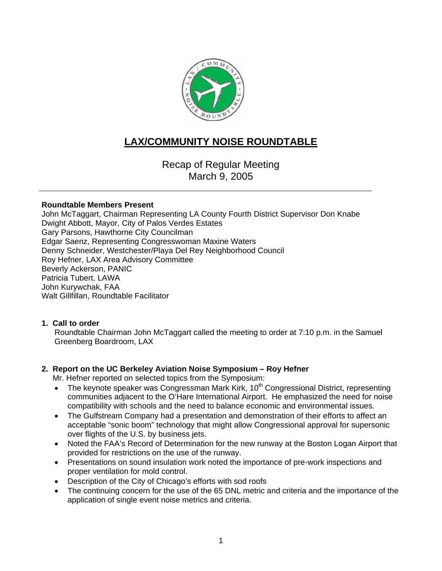

# **LAX/COMMUNITY NOISE ROUNDTABLE**

Recap of Regular Meeting March 9, 2005

#### **Roundtable Members Present**

John McTaggart, Chairman Representing LA County Fourth District Supervisor Don Knabe Dwight Abbott, Mayor, City of Palos Verdes Estates Gary Parsons, Hawthorne City Councilman Edgar Saenz, Representing Congresswoman Maxine Waters Denny Schneider, Westchester/Playa Del Rey Neighborhood Council Roy Hefner, LAX Area Advisory Committee Beverly Ackerson, PANIC Patricia Tubert, LAWA John Kurywchak, FAA Walt Gillfillan, Roundtable Facilitator

## **1. Call to order**

Roundtable Chairman John McTaggart called the meeting to order at 7:10 p.m. in the Samuel Greenberg Boardroom, LAX

## **2. Report on the UC Berkeley Aviation Noise Symposium – Roy Hefner**

Mr. Hefner reported on selected topics from the Symposium:

- The keynote speaker was Congressman Mark Kirk,  $10<sup>th</sup>$  Congressional District, representing communities adjacent to the O'Hare International Airport. He emphasized the need for noise compatibility with schools and the need to balance economic and environmental issues.
- The Gulfstream Company had a presentation and demonstration of their efforts to affect an acceptable "sonic boom" technology that might allow Congressional approval for supersonic over flights of the U.S. by business jets.
- Noted the FAA's Record of Determination for the new runway at the Boston Logan Airport that provided for restrictions on the use of the runway.
- Presentations on sound insulation work noted the importance of pre-work inspections and proper ventilation for mold control.
- Description of the City of Chicago's efforts with sod roofs
- The continuing concern for the use of the 65 DNL metric and criteria and the importance of the application of single event noise metrics and criteria.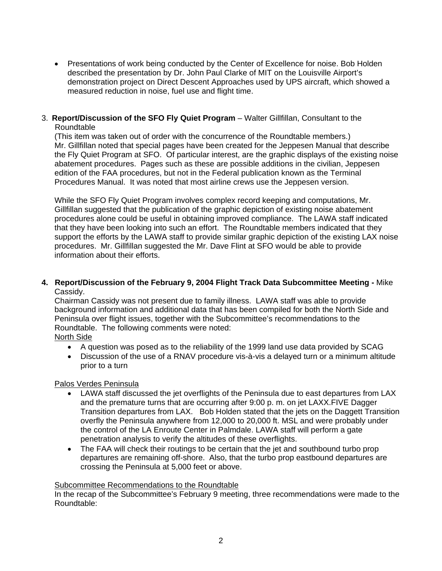• Presentations of work being conducted by the Center of Excellence for noise. Bob Holden described the presentation by Dr. John Paul Clarke of MIT on the Louisville Airport's demonstration project on Direct Descent Approaches used by UPS aircraft, which showed a measured reduction in noise, fuel use and flight time.

#### 3. **Report/Discussion of the SFO Fly Quiet Program** – Walter Gillfillan, Consultant to the Roundtable

(This item was taken out of order with the concurrence of the Roundtable members.) Mr. Gillfillan noted that special pages have been created for the Jeppesen Manual that describe the Fly Quiet Program at SFO. Of particular interest, are the graphic displays of the existing noise abatement procedures. Pages such as these are possible additions in the civilian, Jeppesen edition of the FAA procedures, but not in the Federal publication known as the Terminal Procedures Manual. It was noted that most airline crews use the Jeppesen version.

While the SFO Fly Quiet Program involves complex record keeping and computations, Mr. Gillfillan suggested that the publication of the graphic depiction of existing noise abatement procedures alone could be useful in obtaining improved compliance. The LAWA staff indicated that they have been looking into such an effort. The Roundtable members indicated that they support the efforts by the LAWA staff to provide similar graphic depiction of the existing LAX noise procedures. Mr. Gillfillan suggested the Mr. Dave Flint at SFO would be able to provide information about their efforts.

#### **4. Report/Discussion of the February 9, 2004 Flight Track Data Subcommittee Meeting -** Mike Cassidy.

Chairman Cassidy was not present due to family illness. LAWA staff was able to provide background information and additional data that has been compiled for both the North Side and Peninsula over flight issues, together with the Subcommittee's recommendations to the Roundtable. The following comments were noted:

#### North Side

- A question was posed as to the reliability of the 1999 land use data provided by SCAG
- Discussion of the use of a RNAV procedure vis-à-vis a delayed turn or a minimum altitude prior to a turn

#### Palos Verdes Peninsula

- LAWA staff discussed the jet overflights of the Peninsula due to east departures from LAX and the premature turns that are occurring after 9:00 p. m. on jet LAXX.FIVE Dagger Transition departures from LAX. Bob Holden stated that the jets on the Daggett Transition overfly the Peninsula anywhere from 12,000 to 20,000 ft. MSL and were probably under the control of the LA Enroute Center in Palmdale. LAWA staff will perform a gate penetration analysis to verify the altitudes of these overflights.
- The FAA will check their routings to be certain that the jet and southbound turbo prop departures are remaining off-shore. Also, that the turbo prop eastbound departures are crossing the Peninsula at 5,000 feet or above.

#### Subcommittee Recommendations to the Roundtable

In the recap of the Subcommittee's February 9 meeting, three recommendations were made to the Roundtable: